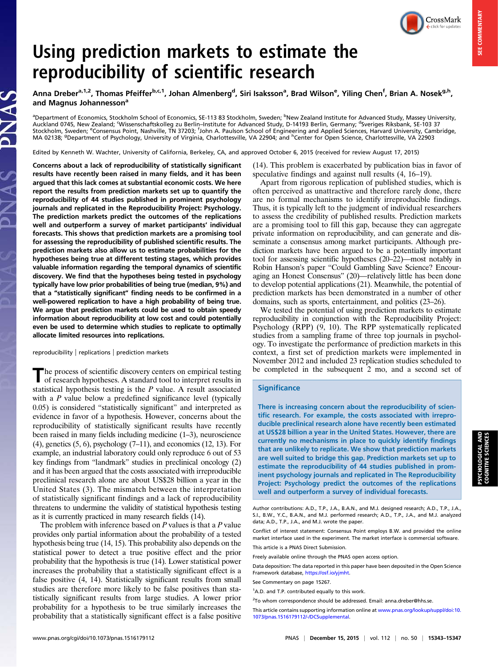CrossMark

# Using prediction markets to estimate the reproducibility of scientific research

Anna Dreber<sup>a,1,2</sup>, Thomas Pfeiffer<sup>b,c,1</sup>, Johan Almenberg<sup>d</sup>, Siri Isaksson<sup>a</sup>, Brad Wilson<sup>e</sup>, Yiling Chen<sup>f</sup>, Brian A. Nosek<sup>g,h</sup>, and Magnus Johannesson<sup>a</sup>

<sup>a</sup>Department of Economics, Stockholm School of Economics, SE-113 83 Stockholm, Sweden; <sup>b</sup>New Zealand Institute for Advanced Study, Massey University, Auckland 0745, New Zealand; ʿWissenschaftskolleg zu Berlin–Institute for Advanced Study, D-14193 Berlin, Germany; <sup>d</sup>Sveriges Riksbank, SE-103 37 Stockholm, Sweden; <sup>e</sup>Consensus Point, Nashville, TN 37203; <sup>f</sup>John A. Paulson School of Engineering and Applied Sciences, Harvard University, Cambridge, MA 02138; <sup>g</sup>Department of Psychology, University of Virginia, Charlottesville, VA 22904; and <sup>h</sup>Center for Open Science, Charlottesville, VA 22903

Edited by Kenneth W. Wachter, University of California, Berkeley, CA, and approved October 6, 2015 (received for review August 17, 2015)

Concerns about a lack of reproducibility of statistically significant results have recently been raised in many fields, and it has been argued that this lack comes at substantial economic costs. We here report the results from prediction markets set up to quantify the reproducibility of 44 studies published in prominent psychology journals and replicated in the Reproducibility Project: Psychology. The prediction markets predict the outcomes of the replications well and outperform a survey of market participants' individual forecasts. This shows that prediction markets are a promising tool for assessing the reproducibility of published scientific results. The prediction markets also allow us to estimate probabilities for the hypotheses being true at different testing stages, which provides valuable information regarding the temporal dynamics of scientific discovery. We find that the hypotheses being tested in psychology typically have low prior probabilities of being true (median, 9%) and that a "statistically significant" finding needs to be confirmed in a well-powered replication to have a high probability of being true. We argue that prediction markets could be used to obtain speedy information about reproducibility at low cost and could potentially even be used to determine which studies to replicate to optimally allocate limited resources into replications.

reproducibility | replications | prediction markets

The process of scientific discovery centers on empirical testing<br>of research hypotheses. A standard tool to interpret results in statistical hypothesis testing is the  $P$  value. A result associated with a  $P$  value below a predefined significance level (typically 0.05) is considered "statistically significant" and interpreted as evidence in favor of a hypothesis. However, concerns about the reproducibility of statistically significant results have recently been raised in many fields including medicine (1–3), neuroscience  $(4)$ , genetics  $(5, 6)$ , psychology  $(7-11)$ , and economics  $(12, 13)$ . For example, an industrial laboratory could only reproduce 6 out of 53 key findings from "landmark" studies in preclinical oncology (2) and it has been argued that the costs associated with irreproducible preclinical research alone are about US\$28 billion a year in the United States (3). The mismatch between the interpretation of statistically significant findings and a lack of reproducibility threatens to undermine the validity of statistical hypothesis testing as it is currently practiced in many research fields (14).

The problem with inference based on  $P$  values is that a  $P$  value provides only partial information about the probability of a tested hypothesis being true (14, 15). This probability also depends on the statistical power to detect a true positive effect and the prior probability that the hypothesis is true (14). Lower statistical power increases the probability that a statistically significant effect is a false positive (4, 14). Statistically significant results from small studies are therefore more likely to be false positives than statistically significant results from large studies. A lower prior probability for a hypothesis to be true similarly increases the probability that a statistically significant effect is a false positive (14). This problem is exacerbated by publication bias in favor of speculative findings and against null results (4, 16–19).

Apart from rigorous replication of published studies, which is often perceived as unattractive and therefore rarely done, there are no formal mechanisms to identify irreproducible findings. Thus, it is typically left to the judgment of individual researchers to assess the credibility of published results. Prediction markets are a promising tool to fill this gap, because they can aggregate private information on reproducibility, and can generate and disseminate a consensus among market participants. Although prediction markets have been argued to be a potentially important tool for assessing scientific hypotheses (20–22)—most notably in Robin Hanson's paper "Could Gambling Save Science? Encouraging an Honest Consensus" (20)—relatively little has been done to develop potential applications (21). Meanwhile, the potential of prediction markets has been demonstrated in a number of other domains, such as sports, entertainment, and politics (23–26).

We tested the potential of using prediction markets to estimate reproducibility in conjunction with the Reproducibility Project: Psychology (RPP) (9, 10). The RPP systematically replicated studies from a sampling frame of three top journals in psychology. To investigate the performance of prediction markets in this context, a first set of prediction markets were implemented in November 2012 and included 23 replication studies scheduled to be completed in the subsequent 2 mo, and a second set of

## **Significance**

There is increasing concern about the reproducibility of scientific research. For example, the costs associated with irreproducible preclinical research alone have recently been estimated at US\$28 billion a year in the United States. However, there are currently no mechanisms in place to quickly identify findings that are unlikely to replicate. We show that prediction markets are well suited to bridge this gap. Prediction markets set up to estimate the reproducibility of 44 studies published in prominent psychology journals and replicated in The Reproducibility Project: Psychology predict the outcomes of the replications well and outperform a survey of individual forecasts.

Author contributions: A.D., T.P., J.A., B.A.N., and M.J. designed research; A.D., T.P., J.A., S.I., B.W., Y.C., B.A.N., and M.J. performed research; A.D., T.P., J.A., and M.J. analyzed data; A.D., T.P., J.A., and M.J. wrote the paper.

Conflict of interest statement: Consensus Point employs B.W. and provided the online market interface used in the experiment. The market interface is commercial software. This article is a PNAS Direct Submission.

Freely available online through the PNAS open access option.

Data deposition: The data reported in this paper have been deposited in the Open Science Framework database, <https://osf.io/yjmht>.

See Commentary on page 15267.

<sup>&</sup>lt;sup>1</sup>A.D. and T.P. contributed equally to this work.

<sup>&</sup>lt;sup>2</sup>To whom correspondence should be addressed. Email: [anna.dreber@hhs.se.](mailto:anna.dreber@hhs.se)

This article contains supporting information online at [www.pnas.org/lookup/suppl/doi:10.](http://www.pnas.org/lookup/suppl/doi:10.1073/pnas.1516179112/-/DCSupplemental) [1073/pnas.1516179112/-/DCSupplemental](http://www.pnas.org/lookup/suppl/doi:10.1073/pnas.1516179112/-/DCSupplemental).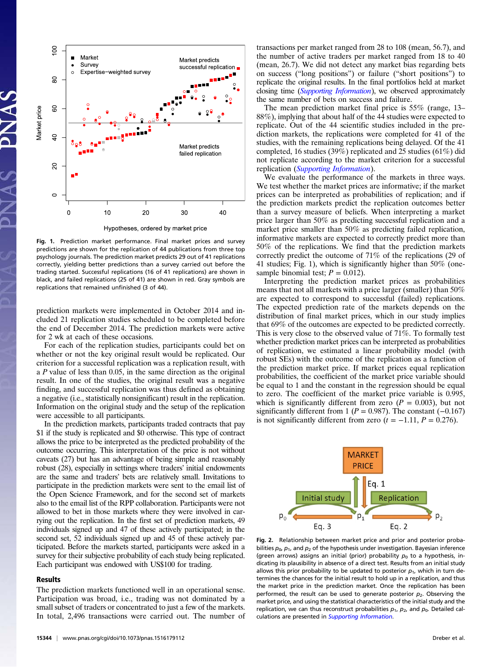

Fig. 1. Prediction market performance. Final market prices and survey predictions are shown for the replication of 44 publications from three top psychology journals. The prediction market predicts 29 out of 41 replications correctly, yielding better predictions than a survey carried out before the trading started. Successful replications (16 of 41 replications) are shown in black, and failed replications (25 of 41) are shown in red. Gray symbols are replications that remained unfinished (3 of 44).

prediction markets were implemented in October 2014 and included 21 replication studies scheduled to be completed before the end of December 2014. The prediction markets were active for 2 wk at each of these occasions.

For each of the replication studies, participants could bet on whether or not the key original result would be replicated. Our criterion for a successful replication was a replication result, with <sup>a</sup> P value of less than 0.05, in the same direction as the original result. In one of the studies, the original result was a negative finding, and successful replication was thus defined as obtaining a negative (i.e., statistically nonsignificant) result in the replication. Information on the original study and the setup of the replication were accessible to all participants.

In the prediction markets, participants traded contracts that pay \$1 if the study is replicated and \$0 otherwise. This type of contract allows the price to be interpreted as the predicted probability of the outcome occurring. This interpretation of the price is not without caveats (27) but has an advantage of being simple and reasonably robust (28), especially in settings where traders' initial endowments are the same and traders' bets are relatively small. Invitations to participate in the prediction markets were sent to the email list of the Open Science Framework, and for the second set of markets also to the email list of the RPP collaboration. Participants were not allowed to bet in those markets where they were involved in carrying out the replication. In the first set of prediction markets, 49 individuals signed up and 47 of these actively participated; in the second set, 52 individuals signed up and 45 of these actively participated. Before the markets started, participants were asked in a survey for their subjective probability of each study being replicated. Each participant was endowed with US\$100 for trading.

#### Results

The prediction markets functioned well in an operational sense. Participation was broad, i.e., trading was not dominated by a small subset of traders or concentrated to just a few of the markets. In total, 2,496 transactions were carried out. The number of transactions per market ranged from 28 to 108 (mean, 56.7), and the number of active traders per market ranged from 18 to 40 (mean, 26.7). We did not detect any market bias regarding bets on success ("long positions") or failure ("short positions") to replicate the original results. In the final portfolios held at market closing time *([Supporting Information](http://www.pnas.org/lookup/suppl/doi:10.1073/pnas.1516179112/-/DCSupplemental/pnas.201516179SI.pdf?targetid=nameddest=STXT))*, we observed approximately the same number of bets on success and failure.

The mean prediction market final price is 55% (range, 13– 88%), implying that about half of the 44 studies were expected to replicate. Out of the 44 scientific studies included in the prediction markets, the replications were completed for 41 of the studies, with the remaining replications being delayed. Of the 41 completed, 16 studies (39%) replicated and 25 studies (61%) did not replicate according to the market criterion for a successful replication ([Supporting Information](http://www.pnas.org/lookup/suppl/doi:10.1073/pnas.1516179112/-/DCSupplemental/pnas.201516179SI.pdf?targetid=nameddest=STXT)).

We evaluate the performance of the markets in three ways. We test whether the market prices are informative; if the market prices can be interpreted as probabilities of replication; and if the prediction markets predict the replication outcomes better than a survey measure of beliefs. When interpreting a market price larger than 50% as predicting successful replication and a market price smaller than 50% as predicting failed replication, informative markets are expected to correctly predict more than 50% of the replications. We find that the prediction markets correctly predict the outcome of 71% of the replications (29 of 41 studies; Fig. 1), which is significantly higher than 50% (onesample binomial test;  $P = 0.012$ ).

Interpreting the prediction market prices as probabilities means that not all markets with a price larger (smaller) than 50% are expected to correspond to successful (failed) replications. The expected prediction rate of the markets depends on the distribution of final market prices, which in our study implies that 69% of the outcomes are expected to be predicted correctly. This is very close to the observed value of 71%. To formally test whether prediction market prices can be interpreted as probabilities of replication, we estimated a linear probability model (with robust SEs) with the outcome of the replication as a function of the prediction market price. If market prices equal replication probabilities, the coefficient of the market price variable should be equal to 1 and the constant in the regression should be equal to zero. The coefficient of the market price variable is 0.995, which is significantly different from zero  $(P = 0.003)$ , but not significantly different from 1 ( $P = 0.987$ ). The constant (-0.167) is not significantly different from zero  $(t = -1.11, P = 0.276)$ .



Fig. 2. Relationship between market price and prior and posterior probabilities  $p_0$ ,  $p_1$ , and  $p_2$  of the hypothesis under investigation. Bayesian inference (green arrows) assigns an initial (prior) probability  $p_0$  to a hypothesis, indicating its plausibility in absence of a direct test. Results from an initial study allows this prior probability to be updated to posterior  $p_1$ , which in turn determines the chances for the initial result to hold up in a replication, and thus the market price in the prediction market. Once the replication has been performed, the result can be used to generate posterior  $p_2$ . Observing the market price, and using the statistical characteristics of the initial study and the replication, we can thus reconstruct probabilities  $p_1$ ,  $p_2$ , and  $p_0$ . Detailed cal-culations are presented in [Supporting Information](http://www.pnas.org/lookup/suppl/doi:10.1073/pnas.1516179112/-/DCSupplemental/pnas.201516179SI.pdf?targetid=nameddest=STXT).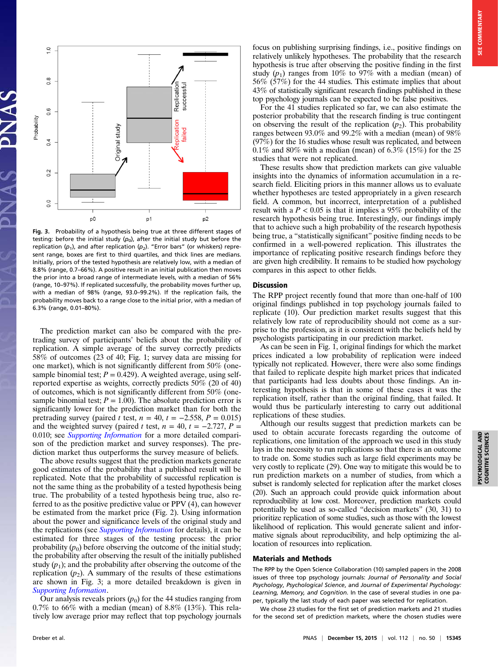

Fig. 3. Probability of a hypothesis being true at three different stages of testing: before the initial study  $(p_0)$ , after the initial study but before the replication ( $p_1$ ), and after replication ( $p_2$ ). "Error bars" (or whiskers) represent range, boxes are first to third quartiles, and thick lines are medians. Initially, priors of the tested hypothesis are relatively low, with a median of 8.8% (range, 0.7–66%). A positive result in an initial publication then moves the prior into a broad range of intermediate levels, with a median of 56% (range, 10–97%). If replicated successfully, the probability moves further up, with a median of 98% (range, 93.0–99.2%). If the replication fails, the probability moves back to a range close to the initial prior, with a median of 6.3% (range, 0.01–80%).

The prediction market can also be compared with the pretrading survey of participants' beliefs about the probability of replication. A simple average of the survey correctly predicts 58% of outcomes (23 of 40; Fig. 1; survey data are missing for one market), which is not significantly different from 50% (onesample binomial test;  $P = 0.429$ ). A weighted average, using selfreported expertise as weights, correctly predicts 50% (20 of 40) of outcomes, which is not significantly different from 50% (onesample binomial test;  $P = 1.00$ ). The absolute prediction error is significantly lower for the prediction market than for both the pretrading survey (paired t test,  $n = 40$ ,  $t = -2.558$ ,  $P = 0.015$ ) and the weighted survey (paired t test,  $n = 40$ ,  $t = -2.727$ ,  $P =$ 0.010; see *[Supporting Information](http://www.pnas.org/lookup/suppl/doi:10.1073/pnas.1516179112/-/DCSupplemental/pnas.201516179SI.pdf?targetid=nameddest=STXT)* for a more detailed comparison of the prediction market and survey responses). The prediction market thus outperforms the survey measure of beliefs.

The above results suggest that the prediction markets generate good estimates of the probability that a published result will be replicated. Note that the probability of successful replication is not the same thing as the probability of a tested hypothesis being true. The probability of a tested hypothesis being true, also referred to as the positive predictive value or PPV (4), can however be estimated from the market price (Fig. 2). Using information about the power and significance levels of the original study and the replications (see *[Supporting Information](http://www.pnas.org/lookup/suppl/doi:10.1073/pnas.1516179112/-/DCSupplemental/pnas.201516179SI.pdf?targetid=nameddest=STXT)* for details), it can be estimated for three stages of the testing process: the prior probability  $(p_0)$  before observing the outcome of the initial study; the probability after observing the result of the initially published study  $(p_1)$ ; and the probability after observing the outcome of the replication  $(p_2)$ . A summary of the results of these estimations are shown in Fig. 3; a more detailed breakdown is given in [Supporting Information](http://www.pnas.org/lookup/suppl/doi:10.1073/pnas.1516179112/-/DCSupplemental/pnas.201516179SI.pdf?targetid=nameddest=STXT).

Our analysis reveals priors  $(p_0)$  for the 44 studies ranging from  $0.7\%$  to 66% with a median (mean) of 8.8% (13%). This relatively low average prior may reflect that top psychology journals focus on publishing surprising findings, i.e., positive findings on relatively unlikely hypotheses. The probability that the research hypothesis is true after observing the positive finding in the first study  $(p_1)$  ranges from 10% to 97% with a median (mean) of 56% (57%) for the 44 studies. This estimate implies that about 43% of statistically significant research findings published in these top psychology journals can be expected to be false positives.

For the 41 studies replicated so far, we can also estimate the posterior probability that the research finding is true contingent on observing the result of the replication  $(p_2)$ . This probability ranges between 93.0% and 99.2% with a median (mean) of 98% (97%) for the 16 studies whose result was replicated, and between  $0.1\%$  and 80% with a median (mean) of 6.3% (15%) for the 25 studies that were not replicated.

These results show that prediction markets can give valuable insights into the dynamics of information accumulation in a research field. Eliciting priors in this manner allows us to evaluate whether hypotheses are tested appropriately in a given research field. A common, but incorrect, interpretation of a published result with a  $P < 0.05$  is that it implies a 95% probability of the research hypothesis being true. Interestingly, our findings imply that to achieve such a high probability of the research hypothesis being true, a "statistically significant" positive finding needs to be confirmed in a well-powered replication. This illustrates the importance of replicating positive research findings before they are given high credibility. It remains to be studied how psychology compares in this aspect to other fields.

## Discussion

The RPP project recently found that more than one-half of 100 original findings published in top psychology journals failed to replicate (10). Our prediction market results suggest that this relatively low rate of reproducibility should not come as a surprise to the profession, as it is consistent with the beliefs held by psychologists participating in our prediction market.

As can be seen in Fig. 1, original findings for which the market prices indicated a low probability of replication were indeed typically not replicated. However, there were also some findings that failed to replicate despite high market prices that indicated that participants had less doubts about those findings. An interesting hypothesis is that in some of these cases it was the replication itself, rather than the original finding, that failed. It would thus be particularly interesting to carry out additional replications of these studies.

Although our results suggest that prediction markets can be used to obtain accurate forecasts regarding the outcome of replications, one limitation of the approach we used in this study lays in the necessity to run replications so that there is an outcome to trade on. Some studies such as large field experiments may be very costly to replicate (29). One way to mitigate this would be to run prediction markets on a number of studies, from which a subset is randomly selected for replication after the market closes (20). Such an approach could provide quick information about reproducibility at low cost. Moreover, prediction markets could potentially be used as so-called "decision markets" (30, 31) to prioritize replication of some studies, such as those with the lowest likelihood of replication. This would generate salient and informative signals about reproducibility, and help optimizing the allocation of resources into replication.

### Materials and Methods

The RPP by the Open Science Collaboration (10) sampled papers in the 2008 issues of three top psychology journals: Journal of Personality and Social Psychology, Psychological Science, and Journal of Experimental Psychology: Learning, Memory, and Cognition. In the case of several studies in one paper, typically the last study of each paper was selected for replication.

We chose 23 studies for the first set of prediction markets and 21 studies for the second set of prediction markets, where the chosen studies were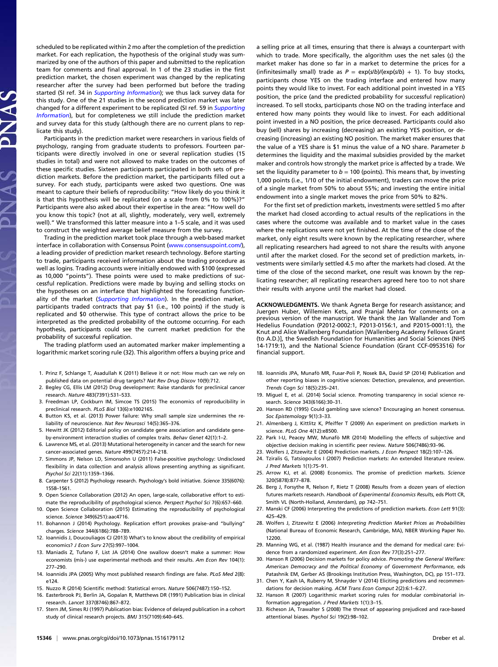scheduled to be replicated within 2 mo after the completion of the prediction market. For each replication, the hypothesis of the original study was summarized by one of the authors of this paper and submitted to the replication team for comments and final approval. In 1 of the 23 studies in the first prediction market, the chosen experiment was changed by the replicating researcher after the survey had been performed but before the trading started (SI ref. 34 in [Supporting Information](http://www.pnas.org/lookup/suppl/doi:10.1073/pnas.1516179112/-/DCSupplemental/pnas.201516179SI.pdf?targetid=nameddest=STXT)); we thus lack survey data for this study. One of the 21 studies in the second prediction market was later changed for a different experiment to be replicated (SI ref. 59 in *[Supporting](http://www.pnas.org/lookup/suppl/doi:10.1073/pnas.1516179112/-/DCSupplemental/pnas.201516179SI.pdf?targetid=nameddest=STXT)* [Information](http://www.pnas.org/lookup/suppl/doi:10.1073/pnas.1516179112/-/DCSupplemental/pnas.201516179SI.pdf?targetid=nameddest=STXT)), but for completeness we still include the prediction market and survey data for this study (although there are no current plans to replicate this study).

Participants in the prediction market were researchers in various fields of psychology, ranging from graduate students to professors. Fourteen participants were directly involved in one or several replication studies (15 studies in total) and were not allowed to make trades on the outcomes of these specific studies. Sixteen participants participated in both sets of prediction markets. Before the prediction market, the participants filled out a survey. For each study, participants were asked two questions. One was meant to capture their beliefs of reproducibility: "How likely do you think it is that this hypothesis will be replicated (on a scale from 0% to 100%)?" Participants were also asked about their expertise in the area: "How well do you know this topic? (not at all, slightly, moderately, very well, extremely well)." We transformed this latter measure into a 1–5 scale, and it was used to construct the weighted average belief measure from the survey.

Trading in the prediction market took place through a web-based market interface in collaboration with Consensus Point [\(www.consensuspoint.com/\)](http://www.consensuspoint.com/), a leading provider of prediction market research technology. Before starting to trade, participants received information about the trading procedure as well as logins. Trading accounts were initially endowed with \$100 (expressed as 10,000 "points"). These points were used to make predictions of successful replication. Predictions were made by buying and selling stocks on the hypotheses on an interface that highlighted the forecasting function-ality of the market ([Supporting Information](http://www.pnas.org/lookup/suppl/doi:10.1073/pnas.1516179112/-/DCSupplemental/pnas.201516179SI.pdf?targetid=nameddest=STXT)). In the prediction market, participants traded contracts that pay \$1 (i.e., 100 points) if the study is replicated and \$0 otherwise. This type of contract allows the price to be interpreted as the predicted probability of the outcome occurring. For each hypothesis, participants could see the current market prediction for the probability of successful replication.

The trading platform used an automated marker maker implementing a logarithmic market scoring rule (32). This algorithm offers a buying price and

- 1. Prinz F, Schlange T, Asadullah K (2011) Believe it or not: How much can we rely on published data on potential drug targets? Nat Rev Drug Discov 10(9):712.
- 2. Begley CG, Ellis LM (2012) Drug development: Raise standards for preclinical cancer research. Nature 483(7391):531–533.
- 3. Freedman LP, Cockburn IM, Simcoe TS (2015) The economics of reproducibility in preclinical research. PLoS Biol 13(6):e1002165.
- 4. Button KS, et al. (2013) Power failure: Why small sample size undermines the reliability of neuroscience. Nat Rev Neurosci 14(5):365–376.
- 5. Hewitt JK (2012) Editorial policy on candidate gene association and candidate geneby-environment interaction studies of complex traits. Behav Genet 42(1):1–2.
- 6. Lawrence MS, et al. (2013) Mutational heterogeneity in cancer and the search for new cancer-associated genes. Nature 499(7457):214–218.
- 7. Simmons JP, Nelson LD, Simonsohn U (2011) False-positive psychology: Undisclosed flexibility in data collection and analysis allows presenting anything as significant. Psychol Sci 22(11):1359–1366.
- 8. Carpenter S (2012) Psychology research. Psychology's bold initiative. Science 335(6076): 1558–1561.
- 9. Open Science Collaboration (2012) An open, large-scale, collaborative effort to estimate the reproducibility of psychological science. Perspect Psychol Sci 7(6):657–660.
- 10. Open Science Collaboration (2015) Estimating the reproducibility of psychological science. Science 349(6251):aac4716.
- 11. Bohannon J (2014) Psychology. Replication effort provokes praise–and "bullying" charges. Science 344(6186):788–789.
- 12. Ioannidis J, Doucouliagos CJ (2013) What's to know about the credibility of empirical economics? J Econ Surv 27(5):997–1004.
- 13. Maniadis Z, Tufano F, List JA (2014) One swallow doesn't make a summer: How economists (mis-) use experimental methods and their results. Am Econ Rev 104(1): 277–290.
- 14. Ioannidis JPA (2005) Why most published research findings are false. PLoS Med 2(8): e124.
- 15. Nuzzo R (2014) Scientific method: Statistical errors. Nature 506(7487):150–152.
- 16. Easterbrook PJ, Berlin JA, Gopalan R, Matthews DR (1991) Publication bias in clinical research. Lancet 337(8746):867–872.
- 17. Stern JM, Simes RJ (1997) Publication bias: Evidence of delayed publication in a cohort study of clinical research projects. BMJ 315(7109):640–645.

a selling price at all times, ensuring that there is always a counterpart with which to trade. More specifically, the algorithm uses the net sales (s) the market maker has done so far in a market to determine the prices for a (infinitesimally small) trade as  $P = \exp(s/b)/(\exp(s/b) + 1)$ . To buy stocks, participants chose YES on the trading interface and entered how many points they would like to invest. For each additional point invested in a YES position, the price (and the predicted probability for successful replication) increased. To sell stocks, participants chose NO on the trading interface and entered how many points they would like to invest. For each additional point invested in a NO position, the price decreased. Participants could also buy (sell) shares by increasing (decreasing) an existing YES position, or decreasing (increasing) an existing NO position. The market maker ensures that the value of a YES share is \$1 minus the value of a NO share. Parameter b determines the liquidity and the maximal subsidies provided by the market maker and controls how strongly the market price is affected by a trade. We set the liquidity parameter to  $b = 100$  (points). This means that, by investing 1,000 points (i.e., 1/10 of the initial endowment), traders can move the price of a single market from 50% to about 55%; and investing the entire initial endowment into a single market moves the price from 50% to 82%.

For the first set of prediction markets, investments were settled 5 mo after the market had closed according to actual results of the replications in the cases where the outcome was available and to market value in the cases where the replications were not yet finished. At the time of the close of the market, only eight results were known by the replicating researcher, where all replicating researchers had agreed to not share the results with anyone until after the market closed. For the second set of prediction markets, investments were similarly settled 4.5 mo after the markets had closed. At the time of the close of the second market, one result was known by the replicating researcher; all replicating researchers agreed here too to not share their results with anyone until the market had closed.

ACKNOWLEDGMENTS. We thank Agneta Berge for research assistance; and Juergen Huber, Willemien Kets, and Pranjal Mehta for comments on a previous version of the manuscript. We thank the Jan Wallander and Tom Hedelius Foundation (P2012-0002:1, P2013-0156:1, and P2015-0001:1), the Knut and Alice Wallenberg Foundation [Wallenberg Academy Fellows Grant (to A.D.)], the Swedish Foundation for Humanities and Social Sciences (NHS 14-1719:1), and the National Science Foundation (Grant CCF-0953516) for financial support.

- 18. Ioannidis JPA, Munafò MR, Fusar-Poli P, Nosek BA, David SP (2014) Publication and other reporting biases in cognitive sciences: Detection, prevalence, and prevention. Trends Cogn Sci 18(5):235–241.
- 19. Miguel E, et al. (2014) Social science. Promoting transparency in social science research. Science 343(6166):30–31.
- 20. Hanson RD (1995) Could gambling save science? Encouraging an honest consensus. Soc Epistemology 9(1):3–33.
- 21. Almenberg J, Kittlitz K, Pfeiffer T (2009) An experiment on prediction markets in science. PLoS One 4(12):e8500.
- 22. Park I-U, Peacey MW, Munafò MR (2014) Modelling the effects of subjective and objective decision making in scientific peer review. Nature 506(7486):93–96.
- 23. Wolfers J, Zitzewitz E (2004) Prediction markets. J Econ Perspect 18(2):107–126.
- 24. Tziralis G, Tatsiopoulos I (2007) Prediction markets: An extended literature review. J Pred Markets 1(1):75–91.
- 25. Arrow KJ, et al. (2008) Economics. The promise of prediction markets. Science 320(5878):877–878.
- 26. Berg J, Forsythe R, Nelson F, Rietz T (2008) Results from a dozen years of election futures markets research. Handbook of Experimental Economics Results, eds Plott CR, Smith VL (North-Holland, Amsterdam), pp 742–751.
- 27. Manski CF (2006) Interpreting the predictions of prediction markets. Econ Lett 91(3): 425–429.
- 28. Wolfers J, Zitzewitz E (2006) Interpreting Prediction Market Prices as Probabilities (National Bureau of Economic Research, Cambridge, MA), NBER Working Paper No. 12200.
- 29. Manning WG, et al. (1987) Health insurance and the demand for medical care: Evidence from a randomized experiment. Am Econ Rev 77(3):251–277.
- 30. Hanson R (2006) Decision markets for policy advice. Promoting the General Welfare: American Democracy and the Political Economy of Government Performance, eds Patashnik EM, Gerber AS (Brookings Institution Press, Washington, DC), pp 151–173.
- 31. Chen Y, Kash IA, Ruberry M, Shnayder V (2014) Eliciting predictions and recommendations for decision making. ACM Trans Econ Comput 2(2):6:1–6:27.
- 32. Hanson R (2007) Logarithmic market scoring rules for modular combinatorial information aggregation. J Pred Markets 1(1):3–15.
- 33. Richeson JA, Trawalter S (2008) The threat of appearing prejudiced and race-based attentional biases. Psychol Sci 19(2):98–102.